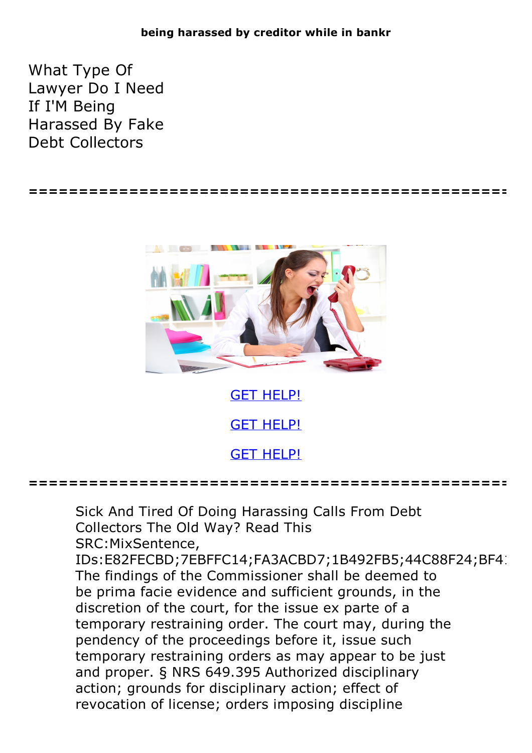## **being harassed by creditor while in bankr**

What Type Of Lawyer Do I Need If I'M Being Harassed By Fake Debt Collectors

**================================================**



GET [HELP!](https://runpdf.xyz/pdf)

GET [HELP!](https://runpdf.xyz/pdf)

GET [HELP!](https://runpdf.xyz/pdf)

**================================================**

Sick And Tired Of Doing Harassing Calls From Debt Collectors The Old Way? Read This SRC:MixSentence,

IDs:E82FECBD;7EBFFC14;FA3ACBD7;1B492FB5;44C88F24;BF41 The findings of the Commissioner shall be deemed to be prima facie evidence and sufficient grounds, in the discretion of the court, for the issue ex parte of a temporary restraining order. The court may, during the pendency of the proceedings before it, issue such temporary restraining orders as may appear to be just and proper. § NRS 649.395 Authorized disciplinary action; grounds for disciplinary action; effect of revocation of license; orders imposing discipline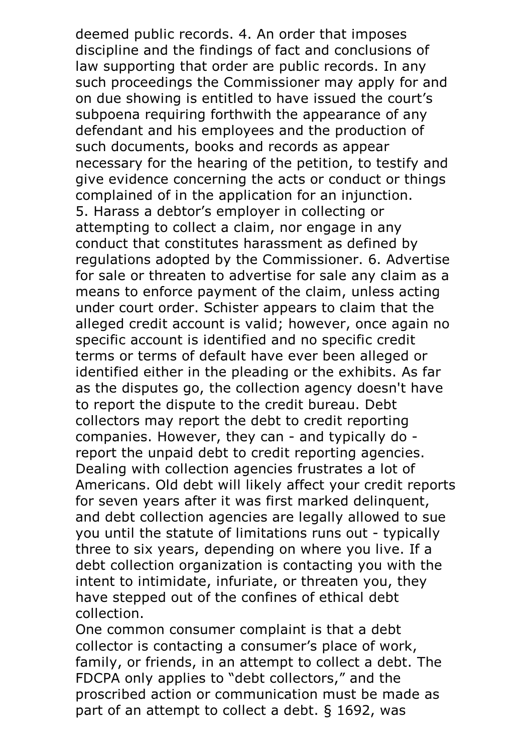deemed public records. 4. An order that imposes discipline and the findings of fact and conclusions of law supporting that order are public records. In any such proceedings the Commissioner may apply for and on due showing is entitled to have issued the court's subpoena requiring forthwith the appearance of any defendant and his employees and the production of such documents, books and records as appear necessary for the hearing of the petition, to testify and give evidence concerning the acts or conduct or things complained of in the application for an injunction. 5. Harass <sup>a</sup> debtor's employer in collecting or attempting to collect a claim, nor engage in any conduct that constitutes harassment as defined by regulations adopted by the Commissioner. 6. Advertise for sale or threaten to advertise for sale any claim as a means to enforce payment of the claim, unless acting under court order. Schister appears to claim that the alleged credit account is valid; however, once again no specific account is identified and no specific credit terms or terms of default have ever been alleged or identified either in the pleading or the exhibits. As far as the disputes go, the collection agency doesn't have to report the dispute to the credit bureau. Debt collectors may report the debt to credit reporting companies. However, they can - and typically do report the unpaid debt to credit reporting agencies. Dealing with collection agencies frustrates <sup>a</sup> lot of Americans. Old debt will likely affect your credit reports for seven years after it was first marked delinquent, and debt collection agencies are legally allowed to sue you until the statute of limitations runs out - typically three to six years, depending on where you live. If a debt collection organization is contacting you with the intent to intimidate, infuriate, or threaten you, they have stepped out of the confines of ethical debt collection.<br>One common consumer complaint is that a debt

collector is contacting a consumer's place of work, family, or friends, in an attempt to collect a debt. The FDCPA only applies to "debt collectors," and the proscribed action or communication must be made as part of an attempt to collect a debt. § 1692, was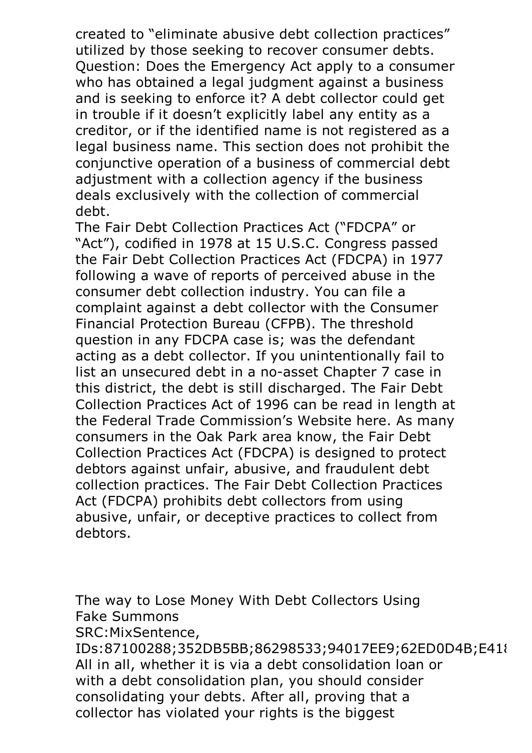created to "eliminate abusive debt collection practices" utilized by those seeking to recover consumer debts. Question: Does the Emergency Act apply to <sup>a</sup> consumer who has obtained a legal judgment against a business and is seeking to enforce it? A debt collector could get in trouble if it doesn't explicitly label any entity as a creditor, or if the identified name is not registered as a legal business name. This section does not prohibit the conjunctive operation of a business of commercial debt adjustment with a collection agency if the business deals exclusively with the collection of commercial debt.<br>The Fair Debt Collection Practices Act ("FDCPA" or

"Act"), codified in 1978 at 15 U.S.C. Congress passed the Fair Debt Collection Practices Act (FDCPA) in 1977 following a wave of reports of perceived abuse in the consumer debt collection industry. You can file a complaint against a debt collector with the Consumer Financial Protection Bureau (CFPB). The threshold question in any FDCPA case is; was the defendant acting as a debt collector. If you unintentionally fail to list an unsecured debt in a no-asset Chapter 7 case in this district, the debt is still discharged. The Fair Debt Collection Practices Act of 1996 can be read in length at the Federal Trade Commission's Website here. As many consumers in the Oak Park area know, the Fair Debt Collection Practices Act (FDCPA) is designed to protect debtors against unfair, abusive, and fraudulent debt collection practices. The Fair Debt Collection Practices Act (FDCPA) prohibits debt collectors from using abusive, unfair, or deceptive practices to collect from debtors.

The way to Lose Money With Debt Collectors Using Fake Summons SRC:MixSentence,

IDs:87100288;352DB5BB;86298533;94017EE9;62ED0D4B;E418 All in all, whether it is via a debt consolidation loan or with a debt consolidation plan, you should consider consolidating your debts. After all, proving that a collector has violated your rights is the biggest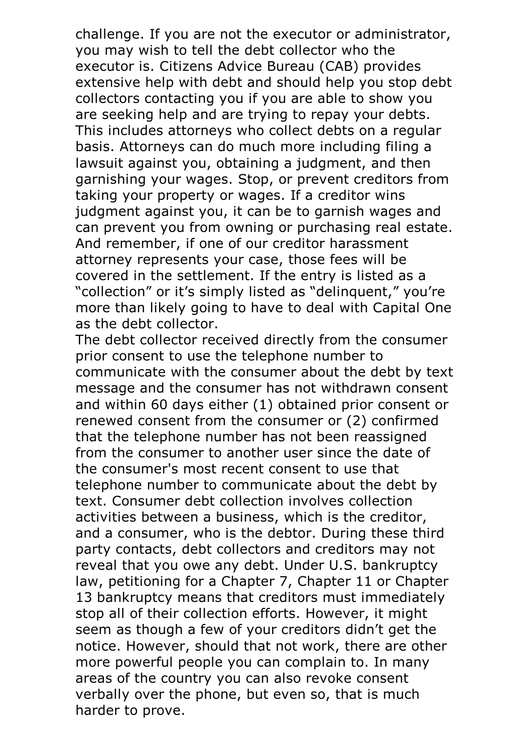challenge. If you are not the executor or administrator, you may wish to tell the debt collector who the executor is. Citizens Advice Bureau (CAB) provides extensive help with debt and should help you stop debt collectors contacting you if you are able to show you are seeking help and are trying to repay your debts. This includes attorneys who collect debts on <sup>a</sup> regular basis. Attorneys can do much more including filing a lawsuit against you, obtaining a judgment, and then garnishing your wages. Stop, or prevent creditors from taking your property or wages. If a creditor wins judgment against you, it can be to garnish wages and can prevent you from owning or purchasing real estate. And remember, if one of our creditor harassment attorney represents your case, those fees will be covered in the settlement. If the entry is listed as a "collection" or it's simply listed as "delinquent," you're more than likely going to have to deal with Capital One as the debt collector. The debt collector received directly from the consumer

prior consent to use the telephone number to communicate with the consumer about the debt by text message and the consumer has not withdrawn consent and within 60 days either (1) obtained prior consent or renewed consent from the consumer or (2) confirmed that the telephone number has not been reassigned from the consumer to another user since the date of the consumer's most recent consent to use that telephone number to communicate about the debt by text. Consumer debt collection involves collection activities between a business, which is the creditor, and a consumer, who is the debtor. During these third party contacts, debt collectors and creditors may not reveal that you owe any debt. Under U.S. bankruptcy law, petitioning for a Chapter 7, Chapter 11 or Chapter 13 bankruptcy means that creditors must immediately stop all of their collection efforts. However, it might seem as though a few of your creditors didn't get the notice. However, should that not work, there are other more powerful people you can complain to. In many areas of the country you can also revoke consent verbally over the phone, but even so, that is much harder to prove.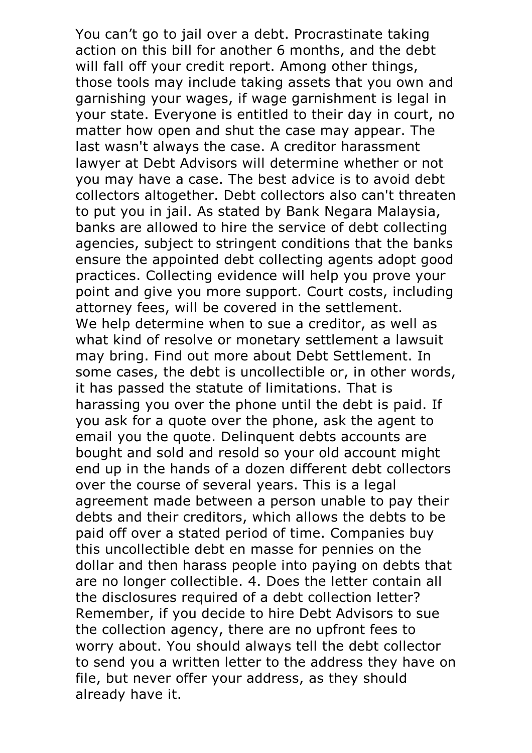You can't go to jail over a debt. Procrastinate taking action on this bill for another 6 months, and the debt will fall off your credit report. Among other things, those tools may include taking assets that you own and garnishing your wages, if wage garnishment is legal in your state. Everyone is entitled to their day in court, no matter how open and shut the case may appear. The last wasn't always the case. A creditor harassment lawyer at Debt Advisors will determine whether or not you may have a case. The best advice is to avoid debt collectors altogether. Debt collectors also can't threaten to put you in jail. As stated by Bank Negara Malaysia, banks are allowed to hire the service of debt collecting agencies, subject to stringent conditions that the banks ensure the appointed debt collecting agents adopt good practices. Collecting evidence will help you prove your point and give you more support. Court costs, including attorney fees, will be covered in the settlement. We help determine when to sue <sup>a</sup> creditor, as well as what kind of resolve or monetary settlement a lawsuit may bring. Find out more about Debt Settlement. In some cases, the debt is uncollectible or, in other words, it has passed the statute of limitations. That is harassing you over the phone until the debt is paid. If you ask for a quote over the phone, ask the agent to email you the quote. Delinquent debts accounts are bought and sold and resold so your old account might end up in the hands of a dozen different debt collectors over the course of several years. This is a legal agreement made between a person unable to pay their debts and their creditors, which allows the debts to be paid off over a stated period of time. Companies buy this uncollectible debt en masse for pennies on the dollar and then harass people into paying on debts that are no longer collectible. 4. Does the letter contain all the disclosures required of a debt collection letter? Remember, if you decide to hire Debt Advisors to sue the collection agency, there are no upfront fees to worry about. You should always tell the debt collector to send you a written letter to the address they have on file, but never offer your address, as they should already have it.